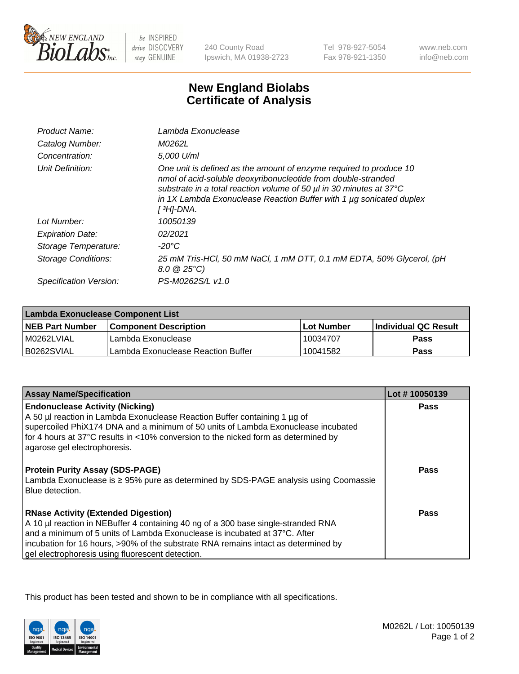

 $be$  INSPIRED drive DISCOVERY stay GENUINE

240 County Road Ipswich, MA 01938-2723

Tel 978-927-5054 Fax 978-921-1350 www.neb.com info@neb.com

## **New England Biolabs Certificate of Analysis**

| Product Name:           | Lambda Exonuclease                                                                                                                                                                                                                                                                                   |
|-------------------------|------------------------------------------------------------------------------------------------------------------------------------------------------------------------------------------------------------------------------------------------------------------------------------------------------|
| Catalog Number:         | M0262L                                                                                                                                                                                                                                                                                               |
| Concentration:          | 5.000 U/ml                                                                                                                                                                                                                                                                                           |
| Unit Definition:        | One unit is defined as the amount of enzyme required to produce 10<br>nmol of acid-soluble deoxyribonucleotide from double-stranded<br>substrate in a total reaction volume of 50 µl in 30 minutes at 37°C<br>in 1X Lambda Exonuclease Reaction Buffer with 1 $\mu$ g sonicated duplex<br>[ 3H]-DNA. |
| Lot Number:             | 10050139                                                                                                                                                                                                                                                                                             |
| <b>Expiration Date:</b> | 02/2021                                                                                                                                                                                                                                                                                              |
| Storage Temperature:    | $-20^{\circ}$ C                                                                                                                                                                                                                                                                                      |
| Storage Conditions:     | 25 mM Tris-HCl, 50 mM NaCl, 1 mM DTT, 0.1 mM EDTA, 50% Glycerol, (pH<br>$8.0 \ @ 25^{\circ}C$                                                                                                                                                                                                        |
| Specification Version:  | PS-M0262S/L v1.0                                                                                                                                                                                                                                                                                     |

| Lambda Exonuclease Component List |                                    |              |                             |  |
|-----------------------------------|------------------------------------|--------------|-----------------------------|--|
| <b>NEB Part Number</b>            | l Component Description            | l Lot Number | <b>Individual QC Result</b> |  |
| I M0262LVIAL                      | Lambda Exonuclease                 | 10034707     | <b>Pass</b>                 |  |
| IB0262SVIAL                       | Lambda Exonuclease Reaction Buffer | 10041582     | Pass                        |  |

| <b>Assay Name/Specification</b>                                                                                                                  | Lot #10050139 |
|--------------------------------------------------------------------------------------------------------------------------------------------------|---------------|
| <b>Endonuclease Activity (Nicking)</b>                                                                                                           | <b>Pass</b>   |
| A 50 µl reaction in Lambda Exonuclease Reaction Buffer containing 1 µg of                                                                        |               |
| supercoiled PhiX174 DNA and a minimum of 50 units of Lambda Exonuclease incubated                                                                |               |
| for 4 hours at 37°C results in <10% conversion to the nicked form as determined by                                                               |               |
| agarose gel electrophoresis.                                                                                                                     |               |
| <b>Protein Purity Assay (SDS-PAGE)</b><br>Lambda Exonuclease is ≥ 95% pure as determined by SDS-PAGE analysis using Coomassie<br>Blue detection. | Pass          |
| <b>RNase Activity (Extended Digestion)</b><br>A 10 µl reaction in NEBuffer 4 containing 40 ng of a 300 base single-stranded RNA                  | Pass          |
| and a minimum of 5 units of Lambda Exonuclease is incubated at 37°C. After                                                                       |               |
| incubation for 16 hours, >90% of the substrate RNA remains intact as determined by                                                               |               |
| gel electrophoresis using fluorescent detection.                                                                                                 |               |

This product has been tested and shown to be in compliance with all specifications.